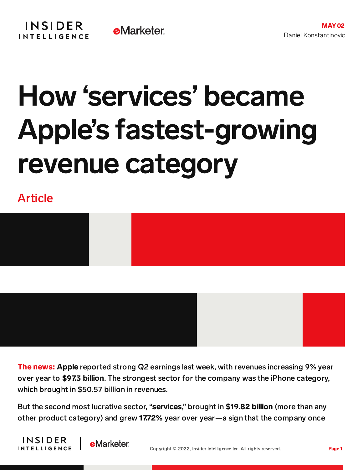## How 'services' became Apple's fastest-growing revenue category

Article





**The news: Apple** reported strong Q2 earnings last week, with revenues increasing 9% year over year to \$97.3 billion. The strongest sector for the company was the iPhone category, which brought in \$50.57 billion in revenues.

But the second most lucrative sector, "**services**," brought in \$19.82 billion (more than any other product category) and grew 17.72% year over year—a sign that the company once



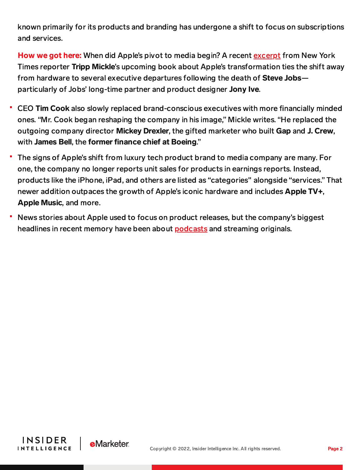known primarily for its products and branding has undergone a shift to focus on subscriptions and services.

How we got here: When did Apple's pivot to media begin? A recent [excerpt](https://www.nytimes.com/2022/05/01/technology/jony-ive-apple-design.html) from New York Times reporter Tripp Mickle's upcoming book about Apple's transformation ties the shift away from hardware to several executive departures following the death of Steve Jobsparticularly of Jobs' long-time partner and product designer Jony Ive.

- CEO Tim Cook also slowly replaced brand-conscious executives with more financially minded ones. "Mr. Cook began reshaping the company in his image," Mickle writes. "He replaced the outgoing company director Mickey Drexler, the gifted marketer who built Gap and J. Crew, with James Bell, the former finance chief at Boeing."
- The signs of Apple's shift from luxury tech product brand to media company are many. For one, the company no longer reports unit sales for products in earnings reports. Instead, products like the iPhone, iPad, and others are listed as "categories'' alongside "services." That newer addition outpaces the growth of Apple's iconic hardware and includes Apple TV+, Apple Music, and more.
- News stories about Apple used to focus on product releases, but the company's biggest headlines in recent memory have been about [podcasts](https://content-na2.emarketer.com/spotify-apple-podcasts-controversy) and streaming originals.



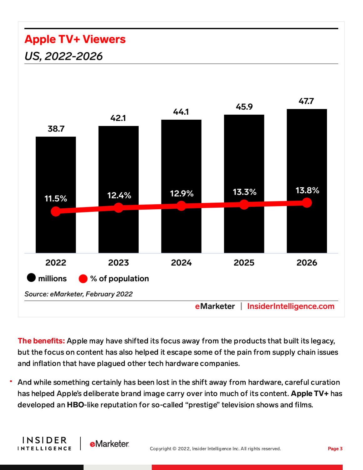## **Apple TV+ Viewers** US, 2022-2026

**INSIDER** 

**INTELLIGENCE** 

**e**Marketer



The benefits: Apple may have shifted its focus away from the products that built its legacy, but the focus on content has also helped it escape some of the pain from supply chain issues and inflation that have plagued other tech hardware companies.

And while something certainly has been lost in the shift away from hardware, careful curation has helped Apple's deliberate brand image carry over into much of its content. Apple TV+ has developed an HBO-like reputation for so-called "prestige" television shows and films.